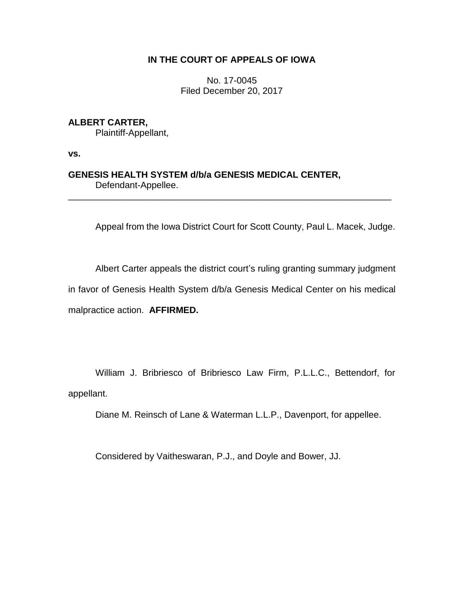# **IN THE COURT OF APPEALS OF IOWA**

No. 17-0045 Filed December 20, 2017

# **ALBERT CARTER,**

Plaintiff-Appellant,

**vs.**

# **GENESIS HEALTH SYSTEM d/b/a GENESIS MEDICAL CENTER,** Defendant-Appellee.

Appeal from the Iowa District Court for Scott County, Paul L. Macek, Judge.

\_\_\_\_\_\_\_\_\_\_\_\_\_\_\_\_\_\_\_\_\_\_\_\_\_\_\_\_\_\_\_\_\_\_\_\_\_\_\_\_\_\_\_\_\_\_\_\_\_\_\_\_\_\_\_\_\_\_\_\_\_\_\_\_

Albert Carter appeals the district court's ruling granting summary judgment in favor of Genesis Health System d/b/a Genesis Medical Center on his medical malpractice action. **AFFIRMED.**

William J. Bribriesco of Bribriesco Law Firm, P.L.L.C., Bettendorf, for appellant.

Diane M. Reinsch of Lane & Waterman L.L.P., Davenport, for appellee.

Considered by Vaitheswaran, P.J., and Doyle and Bower, JJ.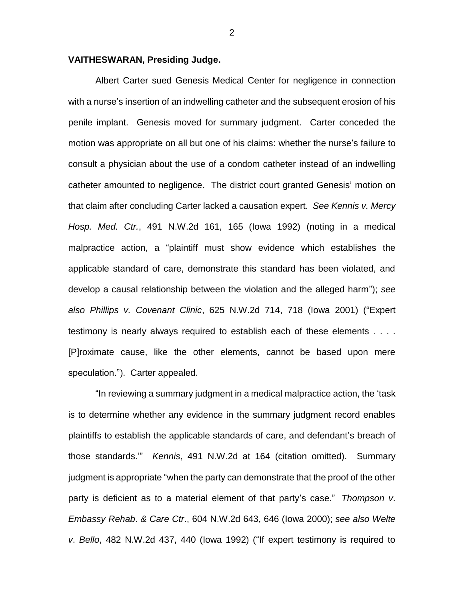#### **VAITHESWARAN, Presiding Judge.**

Albert Carter sued Genesis Medical Center for negligence in connection with a nurse's insertion of an indwelling catheter and the subsequent erosion of his penile implant. Genesis moved for summary judgment. Carter conceded the motion was appropriate on all but one of his claims: whether the nurse's failure to consult a physician about the use of a condom catheter instead of an indwelling catheter amounted to negligence. The district court granted Genesis' motion on that claim after concluding Carter lacked a causation expert. *See Kennis v. Mercy Hosp. Med. Ctr.*, 491 N.W.2d 161, 165 (Iowa 1992) (noting in a medical malpractice action, a "plaintiff must show evidence which establishes the applicable standard of care, demonstrate this standard has been violated, and develop a causal relationship between the violation and the alleged harm"); *see also Phillips v. Covenant Clinic*, 625 N.W.2d 714, 718 (Iowa 2001) ("Expert testimony is nearly always required to establish each of these elements . . . . [P]roximate cause, like the other elements, cannot be based upon mere speculation."). Carter appealed.

"In reviewing a summary judgment in a medical malpractice action, the 'task is to determine whether any evidence in the summary judgment record enables plaintiffs to establish the applicable standards of care, and defendant's breach of those standards.'" *Kennis*, 491 N.W.2d at 164 (citation omitted). Summary judgment is appropriate "when the party can demonstrate that the proof of the other party is deficient as to a material element of that party's case." *Thompson v*. *Embassy Rehab*. *& Care Ctr*., 604 N.W.2d 643, 646 (Iowa 2000); *see also Welte v*. *Bello*, 482 N.W.2d 437, 440 (Iowa 1992) ("If expert testimony is required to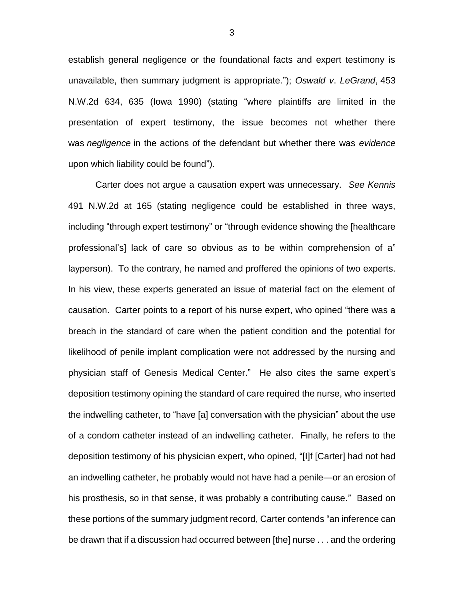establish general negligence or the foundational facts and expert testimony is unavailable, then summary judgment is appropriate."); *Oswald v*. *LeGrand*, 453 N.W.2d 634, 635 (Iowa 1990) (stating "where plaintiffs are limited in the presentation of expert testimony, the issue becomes not whether there was *negligence* in the actions of the defendant but whether there was *evidence* upon which liability could be found").

Carter does not argue a causation expert was unnecessary. *See Kennis*  491 N.W.2d at 165 (stating negligence could be established in three ways, including "through expert testimony" or "through evidence showing the [healthcare professional's] lack of care so obvious as to be within comprehension of a" layperson). To the contrary, he named and proffered the opinions of two experts. In his view, these experts generated an issue of material fact on the element of causation. Carter points to a report of his nurse expert, who opined "there was a breach in the standard of care when the patient condition and the potential for likelihood of penile implant complication were not addressed by the nursing and physician staff of Genesis Medical Center." He also cites the same expert's deposition testimony opining the standard of care required the nurse, who inserted the indwelling catheter, to "have [a] conversation with the physician" about the use of a condom catheter instead of an indwelling catheter. Finally, he refers to the deposition testimony of his physician expert, who opined, "[I]f [Carter] had not had an indwelling catheter, he probably would not have had a penile—or an erosion of his prosthesis, so in that sense, it was probably a contributing cause." Based on these portions of the summary judgment record, Carter contends "an inference can be drawn that if a discussion had occurred between [the] nurse . . . and the ordering